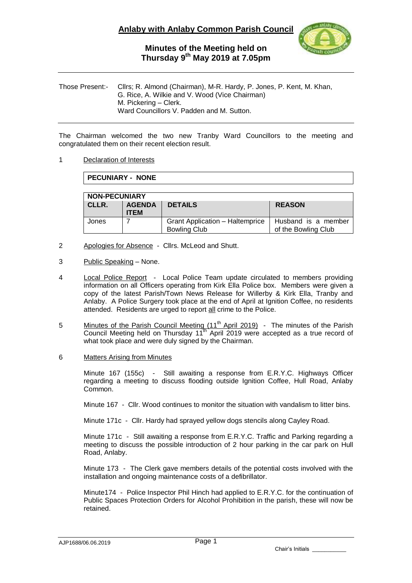

## **Minutes of the Meeting held on Thursday 9 th May 2019 at 7.05pm**

Those Present:- Cllrs; R. Almond (Chairman), M-R. Hardy, P. Jones, P. Kent, M. Khan, G. Rice, A. Wilkie and V. Wood (Vice Chairman) M. Pickering – Clerk. Ward Councillors V. Padden and M. Sutton.

The Chairman welcomed the two new Tranby Ward Councillors to the meeting and congratulated them on their recent election result.

### 1 Declaration of Interests

**PECUNIARY - NONE**

| <b>NON-PECUNIARY</b> |                              |                                                               |                                            |  |  |
|----------------------|------------------------------|---------------------------------------------------------------|--------------------------------------------|--|--|
| CLLR.                | <b>AGENDA</b><br><b>ITEM</b> | <b>DETAILS</b>                                                | <b>REASON</b>                              |  |  |
| Jones                |                              | <b>Grant Application - Haltemprice</b><br><b>Bowling Club</b> | Husband is a member<br>of the Bowling Club |  |  |

- 2 Apologies for Absence Cllrs. McLeod and Shutt.
- 3 Public Speaking None.
- 4 Local Police Report Local Police Team update circulated to members providing information on all Officers operating from Kirk Ella Police box. Members were given a copy of the latest Parish/Town News Release for Willerby & Kirk Ella, Tranby and Anlaby. A Police Surgery took place at the end of April at Ignition Coffee, no residents attended. Residents are urged to report all crime to the Police.
- 5 Minutes of the Parish Council Meeting (11<sup>th</sup> April 2019) The minutes of the Parish Council Meeting held on Thursday  $11<sup>th</sup>$  April 2019 were accepted as a true record of what took place and were duly signed by the Chairman.
- 6 Matters Arising from Minutes

Minute 167 (155c) - Still awaiting a response from E.R.Y.C. Highways Officer regarding a meeting to discuss flooding outside Ignition Coffee, Hull Road, Anlaby Common.

Minute 167 - Cllr. Wood continues to monitor the situation with vandalism to litter bins.

Minute 171c - Cllr. Hardy had sprayed yellow dogs stencils along Cayley Road.

Minute 171c - Still awaiting a response from E.R.Y.C. Traffic and Parking regarding a meeting to discuss the possible introduction of 2 hour parking in the car park on Hull Road, Anlaby.

Minute 173 - The Clerk gave members details of the potential costs involved with the installation and ongoing maintenance costs of a defibrillator.

Minute174 - Police Inspector Phil Hinch had applied to E.R.Y.C. for the continuation of Public Spaces Protection Orders for Alcohol Prohibition in the parish, these will now be retained.

AJP1688/06.06.2019

Chair's Initials \_\_\_\_\_\_\_\_\_\_\_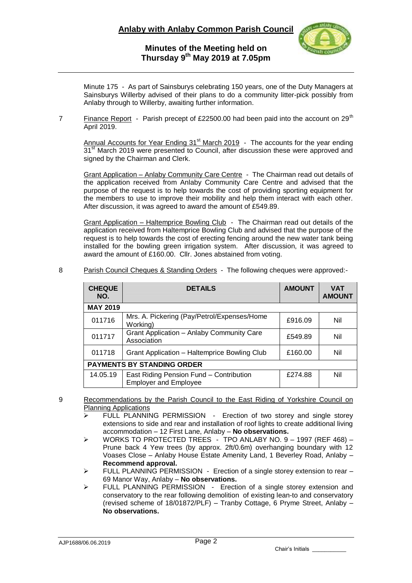

# **Minutes of the Meeting held on Thursday 9 th May 2019 at 7.05pm**

Minute 175 - As part of Sainsburys celebrating 150 years, one of the Duty Managers at Sainsburys Willerby advised of their plans to do a community litter-pick possibly from Anlaby through to Willerby, awaiting further information.

7 Finance Report - Parish precept of £22500.00 had been paid into the account on 29<sup>th</sup> April 2019.

Annual Accounts for Year Ending  $31<sup>st</sup>$  March 2019 - The accounts for the year ending 31<sup>st</sup> March 2019 were presented to Council, after discussion these were approved and signed by the Chairman and Clerk.

Grant Application – Anlaby Community Care Centre - The Chairman read out details of the application received from Anlaby Community Care Centre and advised that the purpose of the request is to help towards the cost of providing sporting equipment for the members to use to improve their mobility and help them interact with each other. After discussion, it was agreed to award the amount of £549.89.

Grant Application - Haltemprice Bowling Club - The Chairman read out details of the application received from Haltemprice Bowling Club and advised that the purpose of the request is to help towards the cost of erecting fencing around the new water tank being installed for the bowling green irrigation system. After discussion, it was agreed to award the amount of £160.00. Cllr. Jones abstained from voting.

| <b>CHEQUE</b><br>NO. | <b>DETAILS</b>                                                          | <b>AMOUNT</b> | <b>VAT</b><br><b>AMOUNT</b> |
|----------------------|-------------------------------------------------------------------------|---------------|-----------------------------|
| <b>MAY 2019</b>      |                                                                         |               |                             |
| 011716               | Mrs. A. Pickering (Pay/Petrol/Expenses/Home)<br>Working)                | £916.09       | Nil                         |
| 011717               | Grant Application - Anlaby Community Care<br>Association                | £549.89       | Nil                         |
| 011718               | <b>Grant Application - Haltemprice Bowling Club</b>                     | £160.00       | Nil                         |
|                      | <b>PAYMENTS BY STANDING ORDER</b>                                       |               |                             |
| 14.05.19             | East Riding Pension Fund - Contribution<br><b>Employer and Employee</b> | £274.88       | Nil                         |

8 Parish Council Cheques & Standing Orders - The following cheques were approved:-

- 9 Recommendations by the Parish Council to the East Riding of Yorkshire Council on Planning Applications
	- FULL PLANNING PERMISSION Erection of two storey and single storey extensions to side and rear and installation of roof lights to create additional living accommodation – 12 First Lane, Anlaby – **No observations.**
	- $\triangleright$  WORKS TO PROTECTED TREES TPO ANLABY NO. 9 1997 (REF 468) -Prune back 4 Yew trees (by approx. 2ft/0.6m) overhanging boundary with 12 Voases Close – Anlaby House Estate Amenity Land, 1 Beverley Road, Anlaby – **Recommend approval.**
	- $\triangleright$  FULL PLANNING PERMISSION Erection of a single storey extension to rear 69 Manor Way, Anlaby – **No observations.**
	- FULL PLANNING PERMISSION -Erection of a single storey extension and conservatory to the rear following demolition of existing lean-to and conservatory (revised scheme of 18/01872/PLF) – Tranby Cottage, 6 Pryme Street, Anlaby – **No observations.**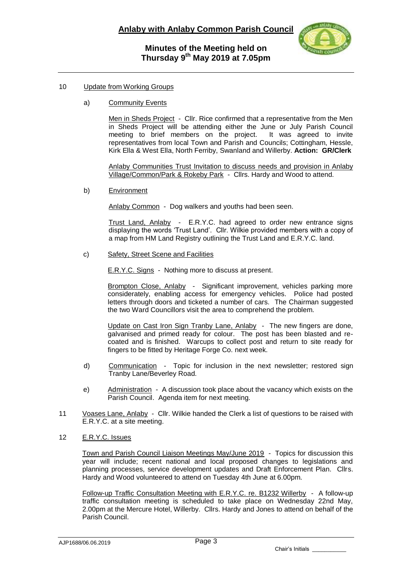

### 10 Update from Working Groups

a) Community Events

Men in Sheds Project - Cllr. Rice confirmed that a representative from the Men in Sheds Project will be attending either the June or July Parish Council meeting to brief members on the project. It was agreed to invite representatives from local Town and Parish and Councils; Cottingham, Hessle, Kirk Ella & West Ella, North Ferriby, Swanland and Willerby. **Action: GR/Clerk**

Anlaby Communities Trust Invitation to discuss needs and provision in Anlaby Village/Common/Park & Rokeby Park - Cllrs. Hardy and Wood to attend.

b) Environment

Anlaby Common - Dog walkers and youths had been seen.

Trust Land, Anlaby - E.R.Y.C. had agreed to order new entrance signs displaying the words 'Trust Land'. Cllr. Wilkie provided members with a copy of a map from HM Land Registry outlining the Trust Land and E.R.Y.C. land.

c) Safety, Street Scene and Facilities

E.R.Y.C. Signs - Nothing more to discuss at present.

Brompton Close, Anlaby - Significant improvement, vehicles parking more considerately, enabling access for emergency vehicles. Police had posted letters through doors and ticketed a number of cars. The Chairman suggested the two Ward Councillors visit the area to comprehend the problem.

Update on Cast Iron Sign Tranby Lane, Anlaby - The new fingers are done, galvanised and primed ready for colour. The post has been blasted and recoated and is finished. Warcups to collect post and return to site ready for fingers to be fitted by Heritage Forge Co. next week.

- d) Communication Topic for inclusion in the next newsletter; restored sign Tranby Lane/Beverley Road.
- e) Administration A discussion took place about the vacancy which exists on the Parish Council. Agenda item for next meeting.
- 11 Voases Lane, Anlaby Cllr. Wilkie handed the Clerk a list of questions to be raised with E.R.Y.C. at a site meeting.
- 12 E.R.Y.C. Issues

Town and Parish Council Liaison Meetings May/June 2019 - Topics for discussion this year will include; recent national and local proposed changes to legislations and planning processes, service development updates and Draft Enforcement Plan. Cllrs. Hardy and Wood volunteered to attend on Tuesday 4th June at 6.00pm.

Follow-up Traffic Consultation Meeting with E.R.Y.C. re. B1232 Willerby - A follow-up traffic consultation meeting is scheduled to take place on Wednesday 22nd May, 2.00pm at the Mercure Hotel, Willerby. Cllrs. Hardy and Jones to attend on behalf of the Parish Council.